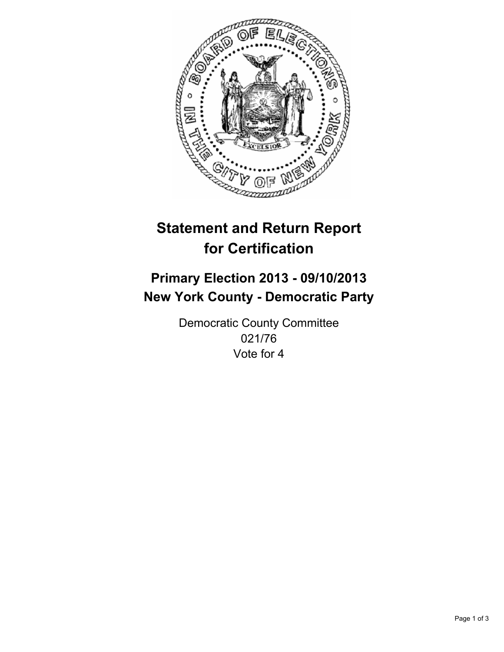

# **Statement and Return Report for Certification**

## **Primary Election 2013 - 09/10/2013 New York County - Democratic Party**

Democratic County Committee 021/76 Vote for 4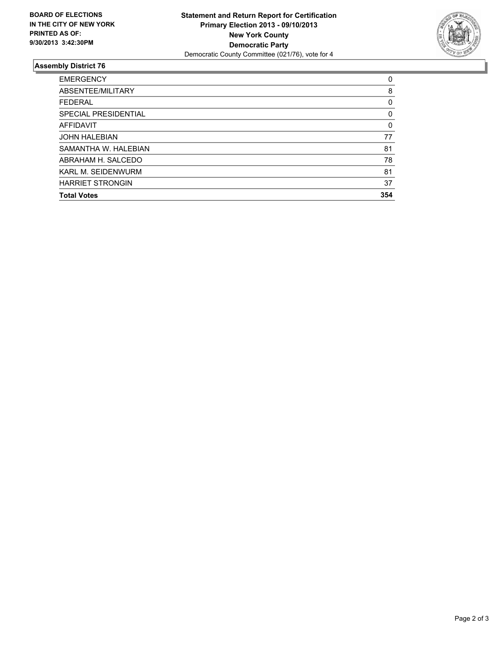

### **Assembly District 76**

| <b>Total Votes</b>        | 354 |
|---------------------------|-----|
| <b>HARRIET STRONGIN</b>   | 37  |
| <b>KARL M. SEIDENWURM</b> | 81  |
| ABRAHAM H. SALCEDO        | 78  |
| SAMANTHA W. HALEBIAN      | 81  |
| <b>JOHN HALEBIAN</b>      | 77  |
| AFFIDAVIT                 | 0   |
| SPECIAL PRESIDENTIAL      | 0   |
| <b>FEDERAL</b>            | 0   |
| ABSENTEE/MILITARY         | 8   |
| <b>EMERGENCY</b>          | 0   |